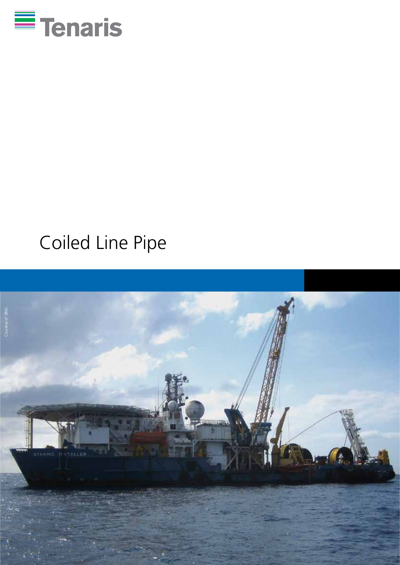

# Coiled Line Pipe

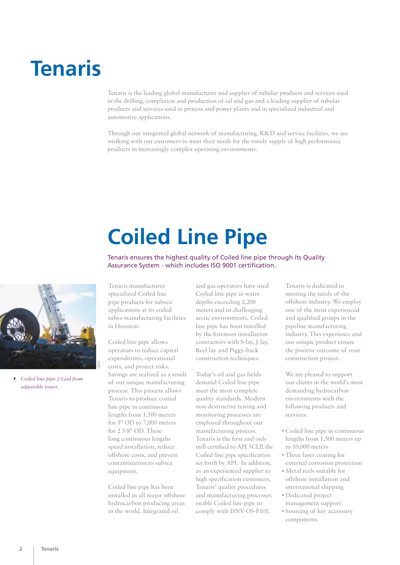## **Tenaris**

Tenaris is the leading global manufacturer and supplier of tubular products and services used in the drilling, completion and production of oil and gas and a leading supplier of tubular products and services used in process and power plants and in specialized industrial and automotive applications.

Through our integrated global network of manufacturing, R&D and service facilities, we are working with our customers to meet their needs for the timely supply of high performance products in increasingly complex operating environments.

# **Coiled Line Pipe**

Tenaris ensures the highest quality of Coiled line pipe through its Quality Assurance System - which includes ISO 9001 certification.



4 *Coiled line pipe J-Laid from adjustable tower.*

Tenaris manufactures specialized Coiled line pipe products for subsea applications at its coiled tubes manufacturing facilities in Houston.

Coiled line pipe allows operators to reduce capital expenditures, operational costs, and project risks. Savings are realized as a result of our unique manufacturing process. This process allows Tenaris to produce coated line pipe in continuous lengths from 1,500 meters for 5" OD to 7,000 meters for 2 3/8" OD. These long continuous lengths speed installation, reduce offshore costs, and prevent contamination to subsea equipment.

Coiled line pipe has been installed in all major offshore hydrocarbon producing areas in the world. Integrated oil

and gas operators have used Coiled line pipe in water depths exceeding 2,200 meters and in challenging arctic environments. Coiled line pipe has been installed by the foremost installation contractors with S-lay, J-lay, Reel-lay and Piggy-back construction techniques.

Today's oil and gas fields demand Coiled line pipe meet the most complete quality standards. Modern non-destructive testing and monitoring processes are employed throughout our manufacturing process. Tenaris is the first and only mill certified to API 5CLP, the Coiled line pipe specification set forth by API. In addition, as an experienced supplier to high specification customers, Tenaris' quality procedures and manufacturing processes enable Coiled line pipe to comply with DNV-OS-F101.

Tenaris is dedicated to meeting the needs of the offshore industry. We employ one of the most experienced and qualified groups in the pipeline manufacturing industry. This experience and our unique product ensure the positive outcome of your construction project.

We are pleased to support our clients in the world's most demanding hydrocarbon environments with the following products and services:

- Coiled line pipe in continuous lengths from 1,500 meters up to 10,000 meters
- Three layer coating for external corrosion protection
- Metal reels suitable for offshore installation and international shipping
- Dedicated project management support
- Sourcing of key accessory components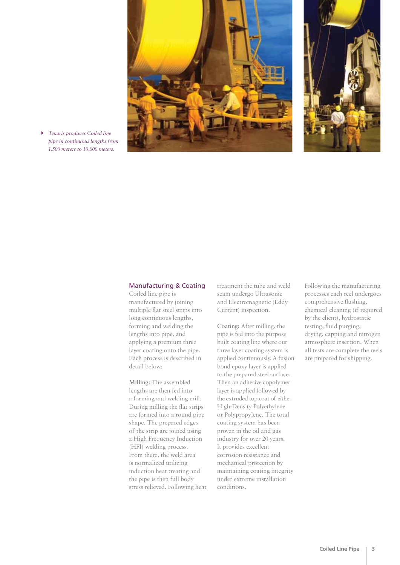

4 *Tenaris produces Coiled line pipe in continuous lengths from 1,500 meters to 10,000 meters.*

#### Manufacturing & Coating

Coiled line pipe is manufactured by joining multiple flat steel strips into long continuous lengths, forming and welding the lengths into pipe, and applying a premium three layer coating onto the pipe. Each process is described in detail below:

**Milling:** The assembled lengths are then fed into a forming and welding mill. During milling the flat strips are formed into a round pipe shape. The prepared edges of the strip are joined using a High Frequency Induction (HFI) welding process. From there, the weld area is normalized utilizing induction heat treating and the pipe is then full body stress relieved. Following heat treatment the tube and weld seam undergo Ultrasonic and Electromagnetic (Eddy Current) inspection.

**Coating:** After milling, the pipe is fed into the purpose built coating line where our three layer coating system is applied continuously. A fusion bond epoxy layer is applied to the prepared steel surface. Then an adhesive copolymer layer is applied followed by the extruded top coat of either High-Density Polyethylene or Polypropylene. The total coating system has been proven in the oil and gas industry for over 20 years. It provides excellent corrosion resistance and mechanical protection by maintaining coating integrity under extreme installation conditions.

Following the manufacturing processes each reel undergoes comprehensive flushing, chemical cleaning (if required by the client), hydrostatic testing, fluid purging, drying, capping and nitrogen atmosphere insertion. When all tests are complete the reels are prepared for shipping.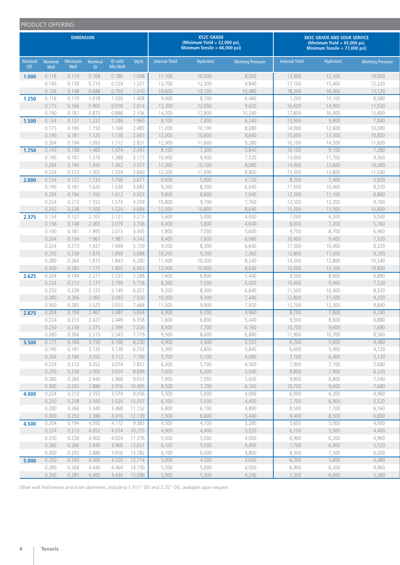|                             | PRODUCT OFFERING       |                 |                       |                            |                |                       |                                                                                        |                         |                                                                                                  |                  |                         |
|-----------------------------|------------------------|-----------------|-----------------------|----------------------------|----------------|-----------------------|----------------------------------------------------------------------------------------|-------------------------|--------------------------------------------------------------------------------------------------|------------------|-------------------------|
|                             | <b>DIMENSION</b>       |                 |                       |                            |                |                       | <b>X52C GRADE</b><br>(Minimum Yield $= 52,000$ psi,<br>Minimum Tensile = $66,000$ psi) |                         | X65C GRADE AND SOUR SERVICE<br>(Minimum Yield $= 65,000$ psi,<br>Minimum Tensile = $77,000$ psi) |                  |                         |
| <b>Nominal</b><br><b>OD</b> | <b>Nominal</b><br>Wall | Minimum<br>Wall | <b>Nominal</b><br>ID. | ID with<br><b>Min Wall</b> | Wt/ft          | <b>Internal Yield</b> | Hydrotest                                                                              | <b>Working Pressure</b> | <b>Internal Yield</b>                                                                            | <b>Hydrotest</b> | <b>Working Pressure</b> |
| 1.000                       | 0.116                  | 0.110           | 0.768                 | 0.780                      | 1.098          | 11,100                | 10,000                                                                                 | 8,000                   | 13,900                                                                                           | 12,500           | 10,000                  |
|                             | 0.145                  | 0.138           | 0.710                 | 0.724                      | 1.327          | 13,700                | 12,300                                                                                 | 9,840                   | 17,100                                                                                           | 15,400           | 12,320                  |
|                             | 0.156                  | 0.148           | 0.688                 | 0.704                      | 1.410          | 14,600                | 13,100                                                                                 | 10,480                  | 18,200                                                                                           | 16,400           | 13,120                  |
| 1.250                       | 0.116                  | 0.110           | 1.018                 | 1.030                      | 1.408          | 9,000                 | 8,100                                                                                  | 6,480                   | 1,200                                                                                            | 10,100           | 8,080                   |
|                             | 0.175                  | 0.166           | 0.900                 | 0.918                      | 2.014          | 13,300                | 12,000                                                                                 | 9,600                   | 16,600                                                                                           | 14,900           | 11,920                  |
|                             | 0.190                  | 0.181           | 0.870                 | 0.888                      | 2.156          | 14,200                | 12,800                                                                                 | 10,240                  | 17,800                                                                                           | 16,000           | 12,800                  |
| 1.500                       | 0.134                  | 0.127           | 1.232                 | 1.246                      | 1.960          | 8,700                 | 7,800                                                                                  | 6,240                   | 10,900                                                                                           | 9,800            | 7,840                   |
|                             | 0.175                  | 0.166           | 1.150                 | 1.168                      | 2.483          | 11,200                | 10,100                                                                                 | 8,080                   | 14,000                                                                                           | 12,600           | 10,080                  |
|                             | 0.190                  | 0.181           | 1.120                 | 1.138                      | 2.665          | 12,000                | 10,800                                                                                 | 8,640                   | 15,000                                                                                           | 13,500           | 10,800                  |
|                             | 0.204                  | 0.194           | 1.092                 | 1.112                      | 2.831          | 12,900                | 11,600                                                                                 | 9,280                   | 16,100                                                                                           | 14,500           | 11,600                  |
| 1.750                       | 0.145                  | 0.138           | 1.460                 | 1.474                      | 2.492          | 8,100                 | 7,300                                                                                  | 5,840                   | 10,100                                                                                           | 9,100            | 7,280                   |
|                             | 0.190                  | 0.181           | 1.370                 | 1.388                      | 3.173          | 10,400                | 9,400                                                                                  | 7,520                   | 13,000                                                                                           | 11,700           | 9,360                   |
|                             | 0.204                  | 0.194           | 1.342                 | 1.362                      | 3.377          | 11,200                | 10,100                                                                                 | 8,080                   | 14,000                                                                                           | 12,600           | 10,080                  |
|                             | 0.224                  | 0.213           | 1.302                 | 1.324                      | 3.660          | 12,200                | 11,000                                                                                 | 8,800                   | 15,300                                                                                           | 13,800           | 11,040                  |
| 2.000                       | 0.134                  | 0.127           | 1.732                 | 1.746                      | 2.677          | 6,600                 | 5,900                                                                                  | 4,720                   | 8,200                                                                                            | 7,400            | 5,920                   |
|                             | 0.190                  | 0.181           | 1.620                 | 1.638                      | 3.682          | 9,200                 | 8,300                                                                                  | 6,640                   | 11,500                                                                                           | 10,400           | 8,320                   |
|                             | 0.204                  | 0.194           | 1.592                 | 1.612                      | 3.923          | 9,800                 | 8,800                                                                                  | 7,040                   | 12,300                                                                                           | 11,100           | 8,880                   |
|                             | 0.224<br>0.250         | 0.213<br>0.238  | 1.552<br>1.500        | 1.574<br>1.524             | 4.259<br>4.684 | 10,800<br>12,000      | 9,700<br>10,800                                                                        | 7,760<br>8,640          | 13,500<br>15,000                                                                                 | 12,200<br>13,500 | 9,760<br>10,800         |
| 2.375                       | 0.134                  | 0.127           | 2.107                 | 2.121                      | 3.215          | 5,600                 | 5,000                                                                                  | 4,000                   | 7,000                                                                                            | 6,300            | 5,040                   |
|                             | 0.156                  | 0.148           | 2.063                 | 2.079                      | 3.706          | 6,400                 | 5,800                                                                                  | 4,640                   | 8,000                                                                                            | 7,200            | 5,760                   |
|                             | 0.190                  | 0.181           | 1.995                 | 2.013                      | 4.445          | 7,800                 | 7,000                                                                                  | 5,600                   | 9,700                                                                                            | 8,700            | 6,960                   |
|                             | 0.204                  | 0.194           | 1.967                 | 1.987                      | 4.742          | 8,400                 | 7,600                                                                                  | 6,080                   | 10,400                                                                                           | 9,400            | 7,520                   |
|                             | 0.224                  | 0.213           | 1.927                 | 1.949                      | 5.159          | 9,200                 | 8,300                                                                                  | 6,640                   | 11,500                                                                                           | 10,400           | 8,320                   |
|                             | 0.250                  | 0.238           | 1.875                 | 1.899                      | 5.688          | 10,200                | 9,200                                                                                  | 7,360                   | 12,800                                                                                           | 11,500           | 9,200                   |
|                             | 0.280                  | 0.266           | 1.815                 | 1.843                      | 6.280          | 11,400                | 10,300                                                                                 | 8,240                   | 14,200                                                                                           | 12,800           | 10,240                  |
|                             | 0.300                  | 0.285           | 1.775                 | 1.805                      | 6.665          | 12,000                | 10,800                                                                                 | 8,640                   | 15,000                                                                                           | 13,500           | 10,800                  |
| 2.625                       | 0.204                  | 0.194           | 2.217                 | 2.237                      | 5.288          | 7,600                 | 6,800                                                                                  | 5,440                   | 9,500                                                                                            | 8,600            | 6,880                   |
|                             | 0.224                  | 0.213           | 2.177                 | 2.199                      | 5.758          | 8,300                 | 7,500                                                                                  | 6,000                   | 10,400                                                                                           | 9,400            | 7,520                   |
|                             | 0.250                  | 0.238           | 2.125                 | 2.149                      | 6.357          | 9,200                 | 8,300                                                                                  | 6,640                   | 11,500                                                                                           | 10,400           | 8,320                   |
|                             | 0.280                  | 0.266           | 2.065                 | 2.093                      | 7.030          | 10,300                | 9,300                                                                                  | 7,440                   | 12,800                                                                                           | 11,500           | 9,200                   |
|                             | 0.300                  | 0.285           | 2.025                 | 2.055                      | 7.468          | 11,000                | 9,900                                                                                  | 7,920                   | 13,700                                                                                           | 12,300           | 9,840                   |
| 2.875                       | 0.204                  | 0.194           | 2.467                 | 2.487                      | 5.834          | 6,900                 | 6,200                                                                                  | 4,960                   | 8,700                                                                                            | 7,800            | 6,240                   |
|                             | 0.224                  | 0.213           | 2.427                 | 2.449                      | 6.358          | 7,600                 | 6,800                                                                                  | 5,440                   | 9,500                                                                                            | 8,600            | 6,880                   |
|                             | 0.250                  | 0.238           | 2.375                 | 2.399                      | 7.026          | 8,500                 | 7,700                                                                                  | 6,160                   | 10,700                                                                                           | 9,600            | 7,680                   |
|                             | 0.280                  | 0.266           | 2.315                 | 2.343                      | 7.779          | 9,500                 | 8,600                                                                                  | 6,880                   | 11,900                                                                                           | 10,700           | 8,560                   |
| 3.500                       | 0.175                  | 0.166           | 3.150                 | 3.168                      | 6.230          | 4,900                 | 4,400                                                                                  | 3,520                   | 6,200                                                                                            | 5,600            | 4,480                   |
|                             | 0.190                  | 0.181           | 3.120                 | 3.138                      | 6.733          | 5,300                 | 4,800                                                                                  | 3,840                   | 6,600                                                                                            | 5,900            | 4,720                   |
|                             | 0.204                  | 0.194           | 3.092                 | 3.112                      | 7.199          | 5,700                 | 5,100                                                                                  | 4,080                   | 7,100                                                                                            | 6,400            | 5,120                   |
|                             | 0.224                  | 0.213           | 3.052                 | 3.074                      | 7.857          | 6,300                 | 5,700                                                                                  | 4,560                   | 7,900                                                                                            | 7,100            | 5,680                   |
|                             | 0.250                  | 0.238           | 3.000                 | 3.024                      | 8.699          | 7,000                 | 6,300                                                                                  | 5,040                   | 8,800                                                                                            | 7,900            | 6,320                   |
|                             | 0.280                  | 0.266           | 2.940                 | 2.968                      | 9.653          | 7,800                 | 7,000                                                                                  | 5,600                   | 9,800                                                                                            | 8,800            | 7,040                   |
|                             | 0.300                  | 0.292           | 2.886                 | 2.916                      | 10.495         | 8,500                 | 7,700                                                                                  | 6,160                   | 10,700                                                                                           | 9,600            | 7,680                   |
| 4.000                       | 0.224                  | 0.213           | 3.552                 | 3.574                      | 9.056          | 5,500                 | 5,000                                                                                  | 4,000                   | 6,900                                                                                            | 6,200            | 4,960                   |
|                             | 0.250                  | 0.238           | 3.500                 | 3.524                      | 10.037         | 6,100                 | 5,500                                                                                  | 4,400                   | 7,700                                                                                            | 6,900            | 5,520                   |
|                             | 0.280                  | 0.266           | 3.440                 | 3.468                      | 11.152         | 6,800                 | 6,100                                                                                  | 4,880                   | 8,500                                                                                            | 7,700            | 6,160                   |
|                             | 0.300                  | 0.292           | 3.386                 | 3.416                      | 12.139         | 7,500                 | 6,800                                                                                  | 5,440                   | 9,400                                                                                            | 8,500            | 6,800                   |
| 4.500                       | 0.204                  | 0.194           | 4.092                 | 4.112                      | 9.383          | 4,500                 | 4,100                                                                                  | 3,280                   | 5,600                                                                                            | 5,000            | 4,000                   |
|                             | 0.224                  | 0.213           | 4.052                 | 4.074                      | 10.255         | 4,900                 | 4,400                                                                                  | 3,520                   | 6,100                                                                                            | 5,500            | 4,400                   |
|                             | 0.250                  | 0.238           | 4.000                 | 4.024                      | 11.376         | 5,500                 | 5,000                                                                                  | 4,000                   | 6,900                                                                                            | 6,200            | 4,960                   |
|                             | 0.280                  | 0.266           | 3.940                 | 3.968                      | 12.651         | 6,100                 | 5,500                                                                                  | 4,400                   | 7,700                                                                                            | 6,900            | 5,520                   |
|                             | 0.300                  | 0.292           | 3.886                 | 3.916                      | 13.782         | 6,700                 | 6,000                                                                                  | 4,800                   | 8,300                                                                                            | 7,500            | 6,000                   |
| 5.000                       | 0.250                  | 0.240           | 4.500                 | 4.520                      | 12.714         | 5,000                 | 4,500                                                                                  | 3,600                   | 6,200                                                                                            | 5,600            | 4,480                   |
|                             | 0.280                  | 0.268           | 4.440                 | 4.464                      | 14.150         | 5,500                 | 5,000                                                                                  | 4,000                   | 6,900                                                                                            | 6,200            | 4,960                   |
|                             | 0.300                  | 0.285           | 4.400                 | 4.430                      | 15.096         | 5,900                 | 5,300                                                                                  | 4,240                   | 7,300                                                                                            | 6,600            | 5,280                   |

Other wall thicknesses and outer diameters, including 1.315" OD and 3.25" OD, available upon request.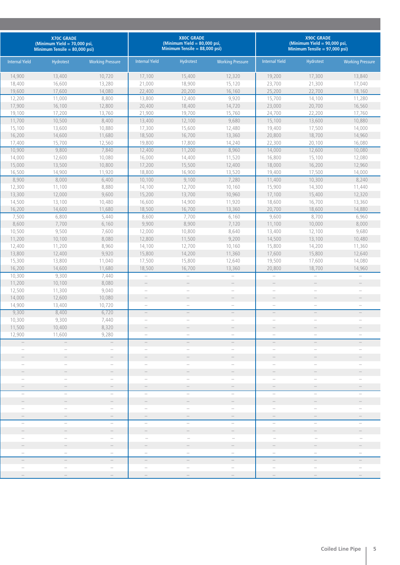|                          | <b>X70C GRADE</b><br>(Minimum Yield = 70,000 psi,<br>Minimum Tensile = $80,000$ psi) |                          |                                                             | <b>X80C GRADE</b><br>(Minimum Yield $= 80,000$ psi,<br>Minimum Tensile = $88,000$ psi) |                          | <b>X90C GRADE</b><br>(Minimum Yield = 90,000 psi,<br>Minimum Tensile = $97,000$ psi) |                                   |                          |  |
|--------------------------|--------------------------------------------------------------------------------------|--------------------------|-------------------------------------------------------------|----------------------------------------------------------------------------------------|--------------------------|--------------------------------------------------------------------------------------|-----------------------------------|--------------------------|--|
| <b>Internal Yield</b>    | Hydrotest                                                                            | <b>Working Pressure</b>  | <b>Internal Yield</b>                                       | Hydrotest                                                                              | <b>Working Pressure</b>  | <b>Internal Yield</b>                                                                | <b>Hydrotest</b>                  | <b>Working Pressure</b>  |  |
| 14,900                   | 13,400                                                                               | 10,720                   | 17,100                                                      | 15,400                                                                                 | 12,320                   | 19,200                                                                               | 17,300                            | 13,840                   |  |
| 18,400                   | 16,600                                                                               | 13,280                   | 21,000                                                      | 18,900                                                                                 | 15,120                   | 23,700                                                                               | 21,300                            | 17,040                   |  |
| 19,600                   | 17,600                                                                               | 14,080                   | 22,400                                                      | 20,200                                                                                 | 16,160                   | 25,200                                                                               | 22,700                            | 18,160                   |  |
| 12,200                   | 11,000                                                                               | 8,800                    | 13,800                                                      | 12,400                                                                                 | 9,920                    | 15,700                                                                               | 14,100                            | 11,280                   |  |
| 17,900                   | 16,100                                                                               | 12,800                   | 20,400                                                      | 18,400                                                                                 | 14,720                   | 23,000                                                                               | 20,700                            | 16,560                   |  |
| 19,100                   | 17,200                                                                               | 13,760                   | 21,900                                                      | 19,700                                                                                 | 15,760                   | 24,700                                                                               | 22,200                            | 17,760                   |  |
| 11,700                   | 10,500                                                                               | 8,400                    | 13,400                                                      | 12,100                                                                                 | 9,680                    | 15,100                                                                               | 13,600                            | 10,880                   |  |
| 15,100                   | 13,600                                                                               | 10,880                   | 17,300                                                      | 15,600                                                                                 | 12,480                   | 19,400                                                                               | 17,500                            | 14,000                   |  |
| 16,200                   | 14,600                                                                               | 11,680                   | 18,500                                                      | 16,700                                                                                 | 13,360                   | 20,800                                                                               | 18,700                            | 14,960                   |  |
| 17,400                   | 15,700                                                                               | 12,560                   | 19,800                                                      | 17,800                                                                                 | 14,240                   | 22,300                                                                               | 20,100                            | 16,080                   |  |
| 10,900                   | 9,800                                                                                | 7,840                    | 12,400                                                      | 11,200                                                                                 | 8,960                    | 14,000                                                                               | 12,600                            | 10,080                   |  |
| 14,000                   | 12,600                                                                               | 10,080                   | 16,000                                                      | 14,400                                                                                 | 11,520                   | 16,800                                                                               | 15,100                            | 12,080                   |  |
| 15,000                   | 13,500                                                                               | 10,800                   | 17,200                                                      | 15,500                                                                                 | 12,400                   | 18,000                                                                               | 16,200                            | 12,960                   |  |
| 16,500                   | 14,900                                                                               | 11,920                   | 18,800                                                      | 16,900                                                                                 | 13,520                   | 19,400                                                                               | 17,500                            | 14,000                   |  |
| 8,900                    | 8,000                                                                                | 6,400                    | 10,100                                                      | 9,100                                                                                  | 7,280                    | 11,400                                                                               | 10,300                            | 8,240                    |  |
| 12,300                   | 11,100                                                                               | 8,880                    | 14,100                                                      | 12,700                                                                                 | 10,160                   | 15,900                                                                               | 14,300                            | 11,440                   |  |
| 13,300                   | 12,000                                                                               | 9,600                    | 15,200                                                      | 13,700                                                                                 | 10,960                   | 17,100                                                                               | 15,400                            | 12,320                   |  |
| 14,500                   | 13,100                                                                               | 10,480                   | 16,600                                                      | 14,900                                                                                 | 11,920                   | 18,600                                                                               | 16,700                            | 13,360                   |  |
| 16,200                   | 14,600                                                                               | 11,680                   | 18,500                                                      | 16,700                                                                                 | 13,360                   | 20,700                                                                               | 18,600                            | 14,880                   |  |
| 7,500                    | 6,800                                                                                | 5,440                    | 8,600                                                       | 7,700                                                                                  | 6,160                    | 9,600                                                                                | 8,700                             | 6,960                    |  |
| 8,600                    | 7,700                                                                                | 6,160                    | 9,900                                                       | 8,900                                                                                  | 7,120                    | 11,100                                                                               | 10,000                            | 8,000                    |  |
| 10,500                   | 9,500                                                                                | 7,600                    | 12,000                                                      | 10,800                                                                                 | 8,640                    | 13,400                                                                               | 12,100                            | 9,680                    |  |
| 11,200                   | 10,100                                                                               | 8,080                    | 12,800                                                      | 11,500                                                                                 | 9,200                    | 14,500                                                                               | 13,100                            | 10,480                   |  |
| 12,400                   | 11,200                                                                               | 8,960                    | 14,100                                                      | 12,700                                                                                 | 10,160                   | 15,800                                                                               | 14,200                            | 11,360                   |  |
| 13,800                   | 12,400                                                                               | 9,920                    | 15,800                                                      | 14,200                                                                                 | 11,360                   | 17,600                                                                               | 15,800                            | 12,640                   |  |
| 15,300                   | 13,800                                                                               | 11,040                   | 17,500                                                      | 15,800                                                                                 | 12,640                   | 19,500                                                                               | 17,600                            | 14,080                   |  |
| 16,200                   | 14,600                                                                               | 11,680                   | 18,500                                                      | 16,700                                                                                 | 13,360                   | 20,800                                                                               | 18,700                            | 14,960                   |  |
| 10,300                   | 9,300                                                                                | 7,440                    | $\overline{\phantom{a}}$                                    | $\overline{\phantom{a}}$                                                               | $\overline{\phantom{0}}$ | $\overline{\phantom{a}}$                                                             | $\overline{\phantom{0}}$          | $\overline{\phantom{m}}$ |  |
| 11,200                   | 10,100                                                                               | 8,080                    | $\overline{\phantom{0}}$<br>$\overline{\phantom{a}}$        | $\hspace{1.0cm} - \hspace{1.0cm}$<br>$\overline{\phantom{a}}$                          | $\overline{\phantom{0}}$ | $\qquad \qquad -$                                                                    |                                   |                          |  |
| 12,500                   | 11,300                                                                               | 9,040                    |                                                             |                                                                                        |                          |                                                                                      |                                   |                          |  |
| 14,000                   | 12,600<br>13,400                                                                     | 10,080<br>10,720         |                                                             |                                                                                        | $\overline{\phantom{0}}$ | $\overline{\phantom{m}}$                                                             | $\overbrace{\qquad \qquad }^{}$   | $\overline{\phantom{0}}$ |  |
| 14,900<br>9,300          | 8,400                                                                                | 6,720                    | $\overline{\phantom{a}}$<br>$\hspace{0.1mm}-\hspace{0.1mm}$ | $\hspace{0.1mm}-\hspace{0.1mm}$<br>$\overline{\phantom{a}}$                            | $\overline{\phantom{0}}$ | $\overline{\phantom{a}}$                                                             | $\qquad \qquad -$                 |                          |  |
| 10,300                   | 9,300                                                                                | 7,440                    |                                                             |                                                                                        |                          |                                                                                      |                                   |                          |  |
| 11,500                   | 10,400                                                                               | 8,320                    |                                                             |                                                                                        |                          |                                                                                      |                                   |                          |  |
| 12,900                   | 11,600                                                                               | 9,280                    |                                                             |                                                                                        |                          |                                                                                      |                                   |                          |  |
|                          | $\overline{\phantom{0}}$                                                             | $\overline{\phantom{0}}$ | $\overline{\phantom{0}}$                                    |                                                                                        | $\overline{\phantom{0}}$ |                                                                                      |                                   |                          |  |
|                          | $\qquad \qquad -$                                                                    | $\overline{\phantom{0}}$ |                                                             | $\overline{\phantom{a}}$                                                               | $\overline{\phantom{a}}$ | $\overline{\phantom{0}}$                                                             | $\overbrace{\qquad \qquad }^{}$   |                          |  |
|                          |                                                                                      | $\overline{\phantom{0}}$ |                                                             |                                                                                        |                          |                                                                                      |                                   |                          |  |
|                          | $\overline{\phantom{a}}$                                                             | $\overline{\phantom{a}}$ | $\overline{\phantom{a}}$                                    | $\overline{\phantom{a}}$                                                               | $\overline{\phantom{a}}$ | $\qquad \qquad -$                                                                    | $\overbrace{\qquad \qquad }^{}$   |                          |  |
|                          |                                                                                      | $\qquad \qquad -$        |                                                             |                                                                                        |                          |                                                                                      |                                   |                          |  |
|                          | $\overline{\phantom{a}}$                                                             | $\overline{\phantom{0}}$ | $\overline{\phantom{m}}$                                    | $\overline{\phantom{a}}$                                                               | $\qquad \qquad -$        |                                                                                      | $\qquad \qquad -$                 |                          |  |
|                          |                                                                                      |                          |                                                             |                                                                                        |                          |                                                                                      |                                   |                          |  |
|                          | $\overline{\phantom{0}}$                                                             | $\overline{\phantom{0}}$ | $\overline{\phantom{a}}$                                    | $\overline{\phantom{a}}$                                                               | $\overline{\phantom{0}}$ | $\overline{\phantom{m}}$                                                             | $\overline{\phantom{a}}$          | $\qquad \qquad -$        |  |
|                          |                                                                                      | $\qquad \qquad -$        |                                                             |                                                                                        |                          |                                                                                      |                                   |                          |  |
|                          |                                                                                      | $\qquad \qquad -$        |                                                             | $\overline{\phantom{0}}$                                                               | $\overline{\phantom{0}}$ | $\overline{\phantom{0}}$                                                             |                                   |                          |  |
|                          | $\overline{\phantom{0}}$                                                             | $\overline{\phantom{0}}$ | $\hspace{0.1mm}-\hspace{0.1mm}$                             | $\overline{\phantom{0}}$                                                               | $\overline{\phantom{0}}$ | $\hspace{0.1mm}-\hspace{0.1mm}$                                                      | $\overline{\phantom{m}}$          |                          |  |
|                          | $\overline{\phantom{0}}$                                                             | $\qquad \qquad -$        | $\overline{\phantom{a}}$                                    | $\qquad \qquad -$                                                                      | $\overline{\phantom{0}}$ |                                                                                      | $\overline{\phantom{0}}$          |                          |  |
|                          |                                                                                      |                          |                                                             |                                                                                        |                          |                                                                                      |                                   |                          |  |
| $\overline{\phantom{0}}$ | $\overline{\phantom{a}}$                                                             | $\overline{\phantom{0}}$ |                                                             | $\overline{\phantom{0}}$                                                               | $\overline{\phantom{m}}$ | $\overbrace{\qquad \qquad }^{}$                                                      | $\overline{\phantom{m}}$          |                          |  |
|                          |                                                                                      |                          |                                                             |                                                                                        |                          |                                                                                      |                                   |                          |  |
|                          | $\overline{\phantom{0}}$                                                             | $\overline{\phantom{0}}$ | $\overline{\phantom{a}}$                                    | $\overline{\phantom{0}}$                                                               | $\overline{\phantom{0}}$ | $\overline{\phantom{0}}$                                                             | $\hspace{1.0cm} - \hspace{1.0cm}$ |                          |  |
|                          |                                                                                      | $\qquad \qquad -$        |                                                             |                                                                                        | $\bar{ }$                | $\overline{\phantom{0}}$                                                             | $\qquad \qquad -$                 |                          |  |
|                          |                                                                                      |                          |                                                             |                                                                                        | $\overline{\phantom{0}}$ | $\overline{\phantom{a}}$                                                             |                                   |                          |  |
|                          |                                                                                      |                          |                                                             |                                                                                        |                          | $\qquad \qquad -$                                                                    |                                   |                          |  |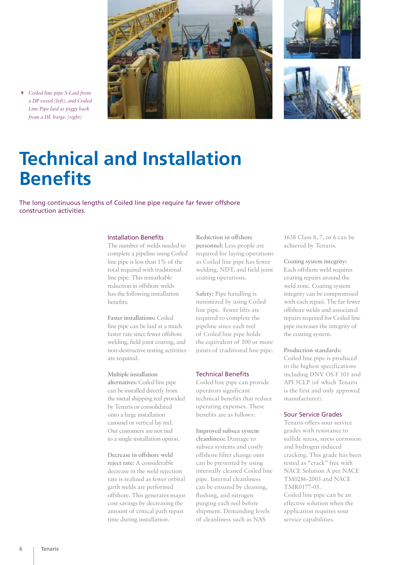





4 *Coiled line pipe S-Laid from a DP vessel (left), and Coiled Line Pipe laid as piggy back from a DL barge. (right)*

### **Technical and Installation Benefits**

The long continuous lengths of Coiled line pipe require far fewer offshore construction activities.

#### Installation Benefits

The number of welds needed to complete a pipeline using Coiled line pipe is less than 1% of the total required with traditional line pipe. This remarkable reduction in offshore welds has the following installation benefits:

**Faster installations:** Coiled line pipe can be laid at a much faster rate since fewer offshore welding, field joint coating, and non-destructive testing activities are required.

#### **Multiple installation**

**alternatives:** Coiled line pipe can be installed directly from the metal shipping reel provided by Tenaris or consolidated onto a large installation carousel or vertical lay reel. Our customers are not tied to a single installation option.

**Decrease in offshore weld reject rate:** A considerable decrease in the weld rejection rate is realized as fewer orbital girth welds are performed offshore. This generates major cost savings by decreasing the amount of critical path repair time during installation.

**Reduction in offshore personnel:** Less people are required for laying operations as Coiled line pipe has fewer welding, NDT, and field joint coating operations.

**Safety:** Pipe handling is minimized by using Coiled line pipe. Fewer lifts are required to complete the pipeline since each reel of Coiled line pipe holds the equivalent of 100 or more joints of traditional line pipe.

### Technical Benefits

Coiled line pipe can provide operators significant technical benefits that reduce operating expenses. These benefits are as follows:

**Improved subsea system cleanliness:** Damage to subsea systems and costly offshore filter change outs can be prevented by using internally cleaned Coiled line pipe. Internal cleanliness can be ensured by cleaning, flushing, and nitrogen purging each reel before shipment. Demanding levels of cleanliness such as NAS

1638 Class 8, 7, or 6 can be achieved by Tenaris.

**Coating system integrity:**  Each offshore weld requires coating repairs around the weld zone. Coating system integrity can be compromised with each repair. The far fewer offshore welds and associated repairs required for Coiled line pipe increases the integrity of the coating system.

**Production standards:** Coiled line pipe is produced to the highest specifications including DNV OS F 101 and API 5CLP (of which Tenaris is the first and only approved manufacturer).

#### Sour Service Grades

Tenaris offers sour service grades with resistance to sulfide stress, stress corrosion and hydrogen induced cracking. This grade has been tested as "crack" free with NACE Solution A per NACE TM0286-2003 and NACE TMR0177-05. Coiled line pipe can be an

effective solution when the application requires sour service capabilities.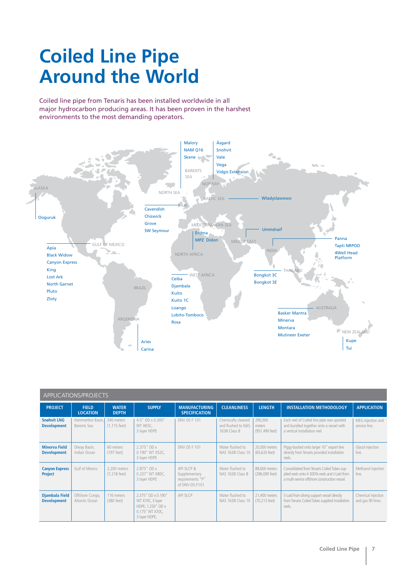### **Coiled Line Pipe Around the World**

Coiled line pipe from Tenaris has been installed worldwide in all major hydrocarbon producing areas. It has been proven in the harshest environments to the most demanding operators.



| APPLICATIONS/PROJECTS                       |                                   |                                 |                                                                                                 |                                                                    |                                                          |                                     |                                                                                                                                                |                                           |  |  |
|---------------------------------------------|-----------------------------------|---------------------------------|-------------------------------------------------------------------------------------------------|--------------------------------------------------------------------|----------------------------------------------------------|-------------------------------------|------------------------------------------------------------------------------------------------------------------------------------------------|-------------------------------------------|--|--|
| <b>PROJECT</b>                              | <b>FIELD</b><br><b>LOCATION</b>   | <b>WATER</b><br><b>DEPTH</b>    | <b>SUPPLY</b>                                                                                   | <b>MANUFACTURING</b><br><b>SPECIFICATION</b>                       | <b>CLEANLINESS</b>                                       | <b>LENGTH</b>                       | <b>INSTALLATION METHODOLOGY</b>                                                                                                                | <b>APPLICATION</b>                        |  |  |
| <b>Snøhvit LNG</b><br><b>Development</b>    | Hammerfest Basin.<br>Barents Sea  | 340 meters<br>$(1, 115$ feet)   | 4.5" OD x 0.300"<br>WT X65C,<br>3 layer HDPE                                                    | <b>DNV OS F 101</b>                                                | Chemically cleaned<br>and flushed to NAS<br>1638 Class 8 | 290,000<br>meters<br>(951,490 feet) | Each reel of Coiled line pipe was spooled<br>and bundled together onto a vessel with<br>a vertical installation reel.                          | MEG injection and<br>service line.        |  |  |
| <b>Minerva Field</b><br><b>Development</b>  | Olway Basin,<br>Indian Ocean      | 60 meters<br>(197 feet)         | 2.375" OD x<br>0.190" WT X52C.<br>3 layer HDPE                                                  | DNV OS F 101                                                       | Water flushed to<br>NAS 1638 Class 10                    | 20,000 meters<br>(65,620 feet)      | Piggy-backed onto larger 10" export line<br>directly from Tenaris provided installation<br>reels.                                              | Glycol injection<br>line.                 |  |  |
| <b>Canyon Express</b><br><b>Project</b>     | Gulf of Mexico                    | 2.200 meters<br>$(7, 218$ feet) | 2.875" OD x<br>0.237" WT X80C.<br>3 layer HDPE                                                  | API 51 CP &<br>Supplementary<br>requirements "P"<br>of DNV-OS-F101 | Water flushed to<br>NAS 1638 Class 8                     | 88,600 meters<br>(296,690 feet)     | Consolidated from Tenaris Coiled Tubes sup-<br>plied reels onto 4 300Te reels and J-Laid from<br>a multi-service offshore construction vessel. | Methanol injection<br>line.               |  |  |
| <b>Djambala Field</b><br><b>Development</b> | Offshore Congo,<br>Atlantic Ocean | 116 meters<br>(380 feet)        | 2.375" OD x 0.190"<br>WT X70C, 3 layer<br>HDPE; 1.250" OD x<br>0.175" WT X70C.<br>3 layer HDPE; | API 5LCP                                                           | Water flushed to<br>NAS 1638 Class 10                    | 21,400 meters<br>(70,213 feet)      | S-Laid from diving support vessel directly<br>from Tenaris Coiled Tubes supplied installation<br>reels.                                        | Chemical injection<br>and gas lift lines. |  |  |